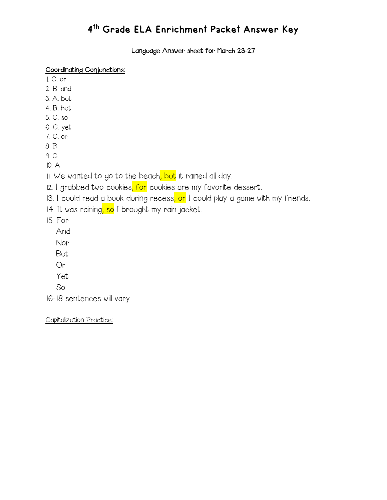Language Answer sheet for March 23-27

#### Coordinating Conjunctions:

- 1. C. or
- 2. B. and
- 3. A. but
- 4. B. but
- 5. C. so
- 6. C. yet 7. C. or
- 8. B
- 9. C

10. A

11. We wanted to go to the beach<mark>, but</mark> it rained all day.

- 12. I grabbed two cookies, for cookies are my favorite dessert.
- 13. I could read a book during recess, or I could play a game with my friends.
- 14. It was raining, so I brought my rain jacket.

15. For

- And
- Nor
- But
- Or
- Yet
- So

16-18 sentences will vary

Capitalization Practice: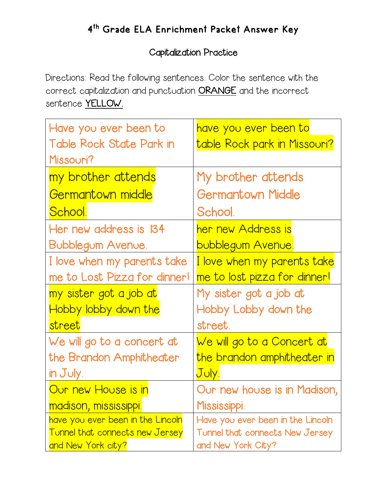# 4th Grade ELA Enrichment Packet Answer Key

#### Capitalization Practice

Directions: Read the following sentences. Color the sentence with the correct capitalization and punctuation ORANGE and the incorrect sentence YELLOW.

| Have you ever been to                  | <u>have you ever been to</u>      |
|----------------------------------------|-----------------------------------|
| Table Rock State Park in               | table Rock park in Missouri?      |
| Missouri?                              |                                   |
| my brother attends                     | My brother attends                |
| Germantown middle                      | <b>Germantown Middle</b>          |
| <u>School.</u>                         | School.                           |
| Her new address is 134                 | her new Address is                |
| <b>Bubblegum Avenue.</b>               | <u>bubblegum Avenue.</u>          |
| I love when my parents take            | I love when my parents take       |
| me to Lost Pizza for dinner!           | me to lost pizza for dinner!      |
| my sister got a job at                 | My sister got a job at            |
| Hobby lobby down the                   | Hobby Lobby down the              |
| street                                 | street.                           |
| We will go to a concert at             | <u>We will go to a Concert at</u> |
| the Brandon Amphitheater               | the brandon amphitheater in       |
| in July.                               | July.                             |
| Our new House is in                    | Our new house is in Madison,      |
| madison, mississippi.                  | Mississippi.                      |
| have you ever been in the Lincoln      | Have you ever been in the Lincoln |
| <b>Tunnel that connects new Jersey</b> | Tunnel that connects New Jersey   |
| and New York city?                     | and New York City?                |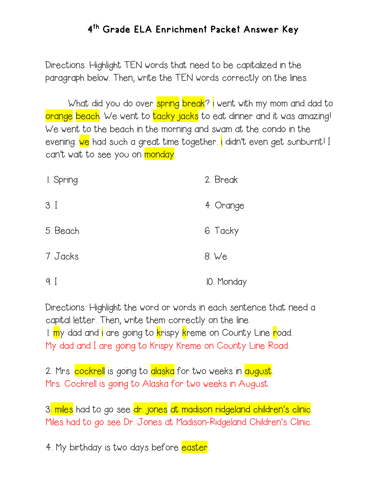Directions: Highlight TEN words that need to be capitalized in the paragraph below. Then, write the TEN words correctly on the lines.

What did you do over spring break? I went with my mom and dad to orange beach. We went to tacky jacks to eat dinner and it was amazing! We went to the beach in the morning and swam at the condo in the evening. We had such a great time together. i didn't even get sunburnt! I can't wait to see you on monday.

| I. Spring      | 2. Break   |
|----------------|------------|
| 3.1            | 4. Orange  |
| 5. Beach       | 6. Tacky   |
| 7. Jacks       | 8. We      |
| 9 <sub>l</sub> | IO. Monday |

Directions: Highlight the word or words in each sentence that need a capital letter. Then, write them correctly on the line. 1. my dad and i are going to krispy kreme on County Line road. My dad and I are going to Krispy Kreme on County Line Road.

2. Mrs. cockrell is going to alaska for two weeks in august. Mrs. Cockrell is going to Alaska for two weeks in August.

3<mark>. miles</mark> had to go see <mark>dr. jones</mark> at madison ridgeland children's clinic. Miles had to go see Dr. Jones at Madison-Ridgeland Children's Clinic.

4. My birthday is two days before easter.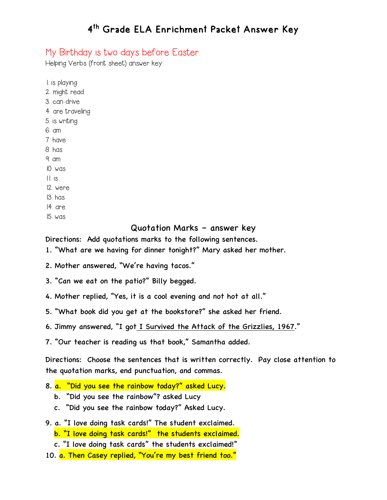#### My Birthday is two days before Easter.

Helping Verbs (front sheet) answer key:

1. is playing 2. might read 3. can drive 4. are traveling 5. is writing 6. am 7. have 8. has 9. am 10. was 11. is 12. were 13. has 14. are

15. was

#### Quotation Marks – answer key

Directions: Add quotations marks to the following sentences.

1. "What are we having for dinner tonight?" Mary asked her mother.

- 2. Mother answered, "We're having tacos."
- 3. "Can we eat on the patio?" Billy begged.
- 4. Mother replied, "Yes, it is a cool evening and not hot at all."
- 5. "What book did you get at the bookstore?" she asked her friend.

6. Jimmy answered, "I got I Survived the Attack of the Grizzlies, 1967."

7. "Our teacher is reading us that book," Samantha added.

Directions: Choose the sentences that is written correctly. Pay close attention to the quotation marks, end punctuation, and commas.

- 8. a. "Did you see the rainbow today?" asked Lucy.
	- b. "Did you see the rainbow"? asked Lucy
	- c. "Did you see the rainbow today?" Asked Lucy.
- 9. a. "I love doing task cards!" The student exclaimed.
	- b. "I love doing task cards!" the students exclaimed.
	- c. "I love doing task cards" the students exclaimed!"
- 10. a. Then Casey replied, "You're my best friend too."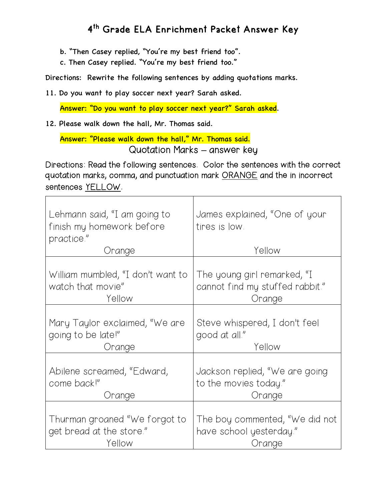- b. "Then Casey replied, "You're my best friend too".
- c. Then Casey replied. "You're my best friend too."

Directions: Rewrite the following sentences by adding quotations marks.

11. Do you want to play soccer next year? Sarah asked.

Answer: "Do you want to play soccer next year?" Sarah asked.

12. Please walk down the hall, Mr. Thomas said.

 Answer: "Please walk down the hall," Mr. Thomas said. Quotation Marks **–** answer key

Directions: Read the following sentences. Color the sentences with the correct quotation marks, comma, and punctuation mark ORANGE and the in incorrect sentences YELLOW.

| Lehmann said, "I am going to<br>finish my homework before<br>practice."<br>Orange | James explained, "One of your<br>tires is low.<br>Yellow |
|-----------------------------------------------------------------------------------|----------------------------------------------------------|
| William mumbled, "I don't want to                                                 | The young girl remarked, "I                              |
| watch that movie"                                                                 | cannot find my stuffed rabbit."                          |
| Yellow                                                                            | Orange                                                   |
| Mary Taylor exclaimed, "We are                                                    | Steve whispered, I don't feel                            |
| going to be late!"                                                                | good at all."                                            |
| Orange                                                                            | Yellow                                                   |
| Abilene screamed, "Edward,                                                        | Jackson replied, "We are going                           |
| come back!"                                                                       | to the movies today."                                    |
| Orange                                                                            | Orange                                                   |
| Thurman groaned "We forgot to                                                     | The boy commented, "We did not                           |
| get bread at the store."                                                          | have school yesterday."                                  |
| Yellow                                                                            | Orange                                                   |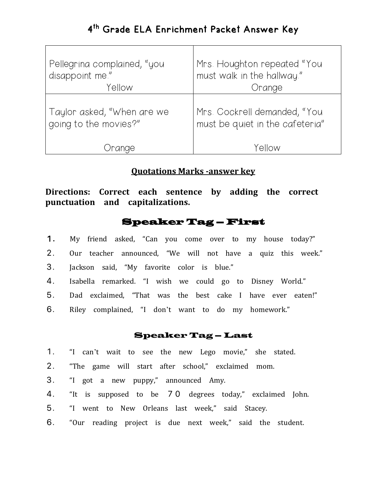| Pellegrina complained, "you | Mrs. Houghton repeated "You     |  |
|-----------------------------|---------------------------------|--|
| disappoint me."             | must walk in the hallway."      |  |
| Yellow                      | Orange                          |  |
| Taylor asked, "When are we  | Mrs. Cockrell demanded, "You    |  |
| going to the movies?"       | must be quiet in the cafeteria" |  |
| range                       | Yellow                          |  |

#### **Quotations Marks -answer key**

**Directions: Correct each sentence by adding the correct punctuation and capitalizations.**

#### Speaker Tag – First

- 1**.** My friend asked, "Can you come over to my house today?"
- 2. Our teacher announced, "We will not have a quiz this week."
- 3. Jackson said, "My favorite color is blue."
- 4. Isabella remarked. "I wish we could go to Disney World."
- 5. Dad exclaimed, "That was the best cake I have ever eaten!"
- 6. Riley complained, "I don't want to do my homework."

#### Speaker Tag – Last

- 1. "I can't wait to see the new Lego movie," she stated.
- 2. "The game will start after school," exclaimed mom.
- 3. "I got a new puppy," announced Amy.
- 4. "It is supposed to be 70 degrees today," exclaimed John.
- 5. "I went to New Orleans last week," said Stacey.
- 6. "Our reading project is due next week," said the student.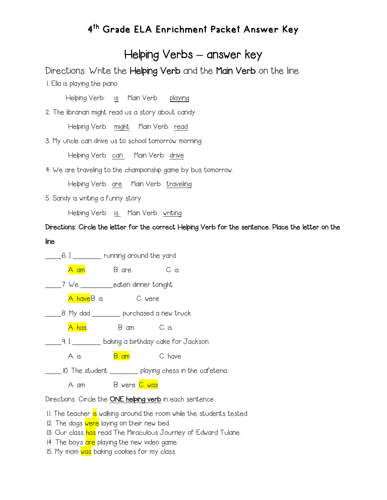### Helping Verbs **–** answer key

Directions: Write the Helping Verb and the Main Verb on the line.

1. Ella is playing the piano.

Helping Verb: is Main Verb: playing

2. The librarian might read us a story about candy.

Helping Verb: might Main Verb: read

3. My uncle can drive us to school tomorrow morning.

Helping Verb: can Main Verb: drive

4. We are traveling to the championship game by bus tomorrow.

Helping Verb: are Main Verb: traveling

5. Sandy is writing a funny story.

Helping Verb: is Main Verb: writing

Directions: Circle the letter for the correct Helping Verb for the sentence. Place the letter on the line



Directions: Circle the ONE helping verb in each sentence.

11. The teacher is walking around the room while the students tested.

12. The dogs were laying on their new bed.

- 13. Our class has read The Miraculous Journey of Edward Tulane.
- 14. The boys are playing the new video game.
- 15. My mom was baking cookies for my class.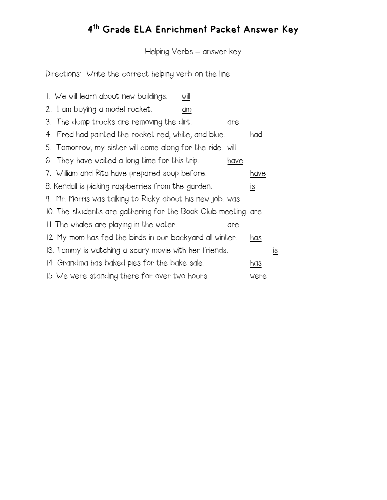# 4th Grade ELA Enrichment Packet Answer Key

Helping Verbs – answer key

Directions: Write the correct helping verb on the line

| 1. We will learn about new buildings.                         | will |      |                           |    |
|---------------------------------------------------------------|------|------|---------------------------|----|
| 2. I am buying a model rocket.                                | am   |      |                           |    |
| 3. The dump trucks are removing the dirt.                     |      | are  |                           |    |
| 4. Fred had painted the rocket red, white, and blue.          |      |      | had                       |    |
| 5. Tomorrow, my sister will come along for the ride. will     |      |      |                           |    |
| 6. They have waited a long time for this trip.                |      | have |                           |    |
| 7. William and Rita have prepared soup before.                |      |      | have                      |    |
| 8. Kendall is picking raspberries from the garden.            |      |      | $\underline{\mathsf{IS}}$ |    |
| 9. Mr. Morris was talking to Ricky about his new job. was     |      |      |                           |    |
| IO. The students are gathering for the Book Club meeting. are |      |      |                           |    |
| II. The whales are playing in the water.                      |      | are  |                           |    |
| 12. My mom has fed the birds in our backyard all winter.      |      |      | has                       |    |
| 13. Tammy is watching a scary movie with her friends.         |      |      |                           | IS |
| 14. Grandma has baked pies for the bake sale.                 |      |      | has                       |    |
| 15. We were standing there for over two hours.                |      |      | were                      |    |